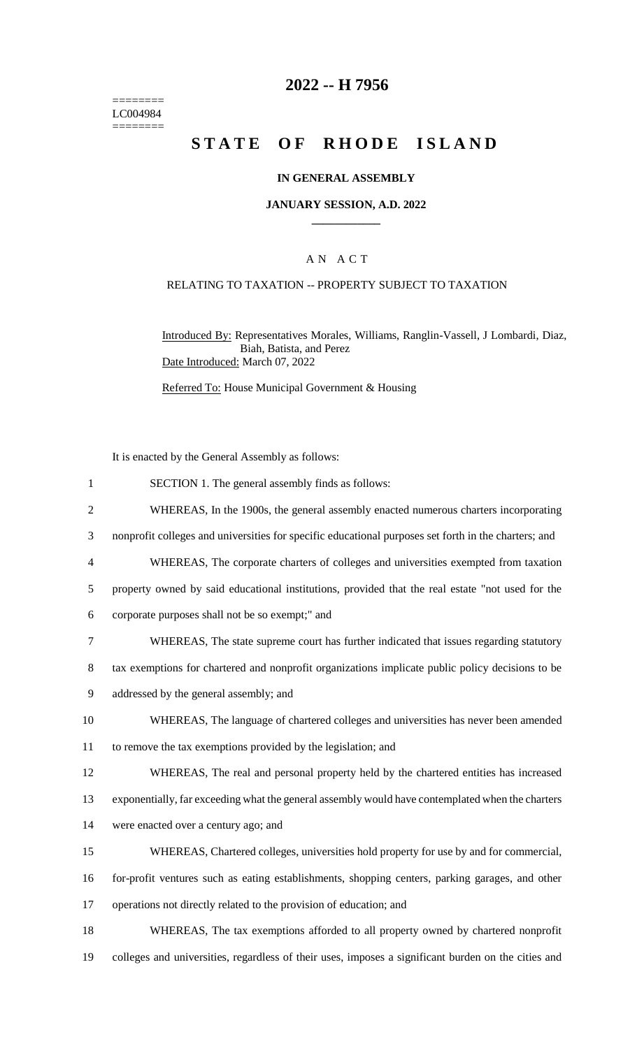======== LC004984 ========

## **2022 -- H 7956**

# **STATE OF RHODE ISLAND**

#### **IN GENERAL ASSEMBLY**

#### **JANUARY SESSION, A.D. 2022 \_\_\_\_\_\_\_\_\_\_\_\_**

### A N A C T

#### RELATING TO TAXATION -- PROPERTY SUBJECT TO TAXATION

Introduced By: Representatives Morales, Williams, Ranglin-Vassell, J Lombardi, Diaz, Biah, Batista, and Perez Date Introduced: March 07, 2022

Referred To: House Municipal Government & Housing

It is enacted by the General Assembly as follows:

- 1 SECTION 1. The general assembly finds as follows:
- 2 WHEREAS, In the 1900s, the general assembly enacted numerous charters incorporating
- 3 nonprofit colleges and universities for specific educational purposes set forth in the charters; and
- 4 WHEREAS, The corporate charters of colleges and universities exempted from taxation

5 property owned by said educational institutions, provided that the real estate "not used for the

- 6 corporate purposes shall not be so exempt;" and
- 7 WHEREAS, The state supreme court has further indicated that issues regarding statutory
- 8 tax exemptions for chartered and nonprofit organizations implicate public policy decisions to be
- 9 addressed by the general assembly; and
- 10 WHEREAS, The language of chartered colleges and universities has never been amended 11 to remove the tax exemptions provided by the legislation; and
- 12 WHEREAS, The real and personal property held by the chartered entities has increased
- 13 exponentially, far exceeding what the general assembly would have contemplated when the charters
- 14 were enacted over a century ago; and
- 
- 15 WHEREAS, Chartered colleges, universities hold property for use by and for commercial,
- 16 for-profit ventures such as eating establishments, shopping centers, parking garages, and other
- 17 operations not directly related to the provision of education; and
- 18 WHEREAS, The tax exemptions afforded to all property owned by chartered nonprofit 19 colleges and universities, regardless of their uses, imposes a significant burden on the cities and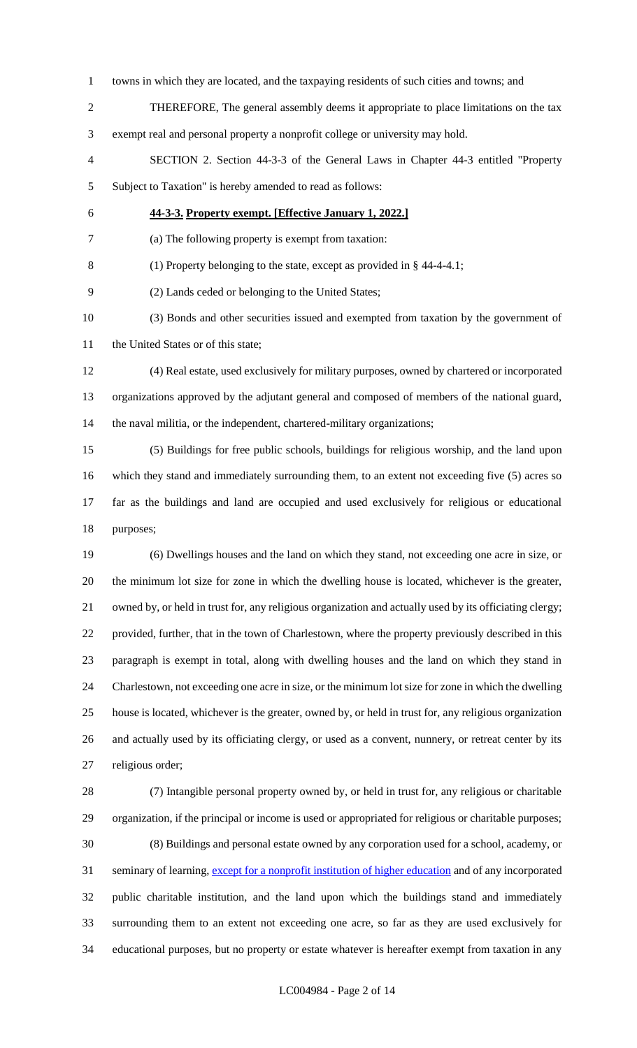- towns in which they are located, and the taxpaying residents of such cities and towns; and
- THEREFORE, The general assembly deems it appropriate to place limitations on the tax exempt real and personal property a nonprofit college or university may hold.
- SECTION 2. Section 44-3-3 of the General Laws in Chapter 44-3 entitled "Property Subject to Taxation" is hereby amended to read as follows:
- 

## **44-3-3. Property exempt. [Effective January 1, 2022.]**

(a) The following property is exempt from taxation:

(1) Property belonging to the state, except as provided in § 44-4-4.1;

(2) Lands ceded or belonging to the United States;

 (3) Bonds and other securities issued and exempted from taxation by the government of 11 the United States or of this state;

 (4) Real estate, used exclusively for military purposes, owned by chartered or incorporated organizations approved by the adjutant general and composed of members of the national guard, the naval militia, or the independent, chartered-military organizations;

 (5) Buildings for free public schools, buildings for religious worship, and the land upon which they stand and immediately surrounding them, to an extent not exceeding five (5) acres so far as the buildings and land are occupied and used exclusively for religious or educational purposes;

 (6) Dwellings houses and the land on which they stand, not exceeding one acre in size, or the minimum lot size for zone in which the dwelling house is located, whichever is the greater, owned by, or held in trust for, any religious organization and actually used by its officiating clergy; provided, further, that in the town of Charlestown, where the property previously described in this paragraph is exempt in total, along with dwelling houses and the land on which they stand in Charlestown, not exceeding one acre in size, or the minimum lot size for zone in which the dwelling house is located, whichever is the greater, owned by, or held in trust for, any religious organization and actually used by its officiating clergy, or used as a convent, nunnery, or retreat center by its religious order;

 (7) Intangible personal property owned by, or held in trust for, any religious or charitable organization, if the principal or income is used or appropriated for religious or charitable purposes; (8) Buildings and personal estate owned by any corporation used for a school, academy, or 31 seminary of learning, except for a nonprofit institution of higher education and of any incorporated public charitable institution, and the land upon which the buildings stand and immediately surrounding them to an extent not exceeding one acre, so far as they are used exclusively for educational purposes, but no property or estate whatever is hereafter exempt from taxation in any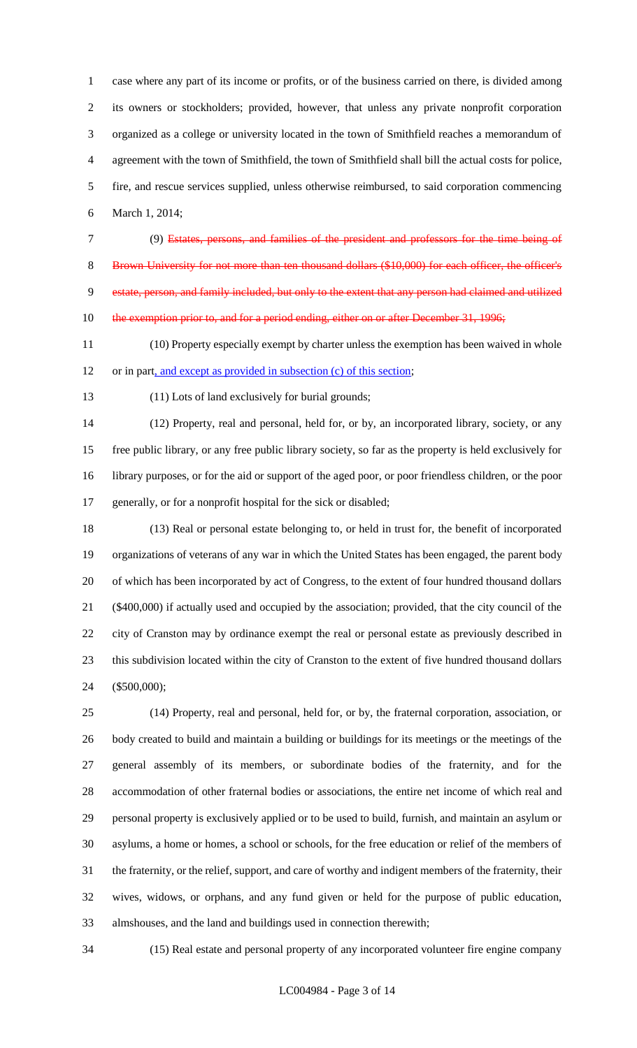case where any part of its income or profits, or of the business carried on there, is divided among its owners or stockholders; provided, however, that unless any private nonprofit corporation organized as a college or university located in the town of Smithfield reaches a memorandum of agreement with the town of Smithfield, the town of Smithfield shall bill the actual costs for police, fire, and rescue services supplied, unless otherwise reimbursed, to said corporation commencing March 1, 2014;

(9) Estates, persons, and families of the president and professors for the time being of

8 Brown University for not more than ten thousand dollars (\$10,000) for each officer, the officer's estate, person, and family included, but only to the extent that any person had claimed and utilized 10 the exemption prior to, and for a period ending, either on or after December 31, 1996;

 (10) Property especially exempt by charter unless the exemption has been waived in whole or in part, and except as provided in subsection (c) of this section;

#### (11) Lots of land exclusively for burial grounds;

 (12) Property, real and personal, held for, or by, an incorporated library, society, or any free public library, or any free public library society, so far as the property is held exclusively for library purposes, or for the aid or support of the aged poor, or poor friendless children, or the poor generally, or for a nonprofit hospital for the sick or disabled;

 (13) Real or personal estate belonging to, or held in trust for, the benefit of incorporated organizations of veterans of any war in which the United States has been engaged, the parent body of which has been incorporated by act of Congress, to the extent of four hundred thousand dollars (\$400,000) if actually used and occupied by the association; provided, that the city council of the city of Cranston may by ordinance exempt the real or personal estate as previously described in this subdivision located within the city of Cranston to the extent of five hundred thousand dollars (\$500,000);

 (14) Property, real and personal, held for, or by, the fraternal corporation, association, or body created to build and maintain a building or buildings for its meetings or the meetings of the general assembly of its members, or subordinate bodies of the fraternity, and for the accommodation of other fraternal bodies or associations, the entire net income of which real and personal property is exclusively applied or to be used to build, furnish, and maintain an asylum or asylums, a home or homes, a school or schools, for the free education or relief of the members of the fraternity, or the relief, support, and care of worthy and indigent members of the fraternity, their wives, widows, or orphans, and any fund given or held for the purpose of public education, almshouses, and the land and buildings used in connection therewith;

(15) Real estate and personal property of any incorporated volunteer fire engine company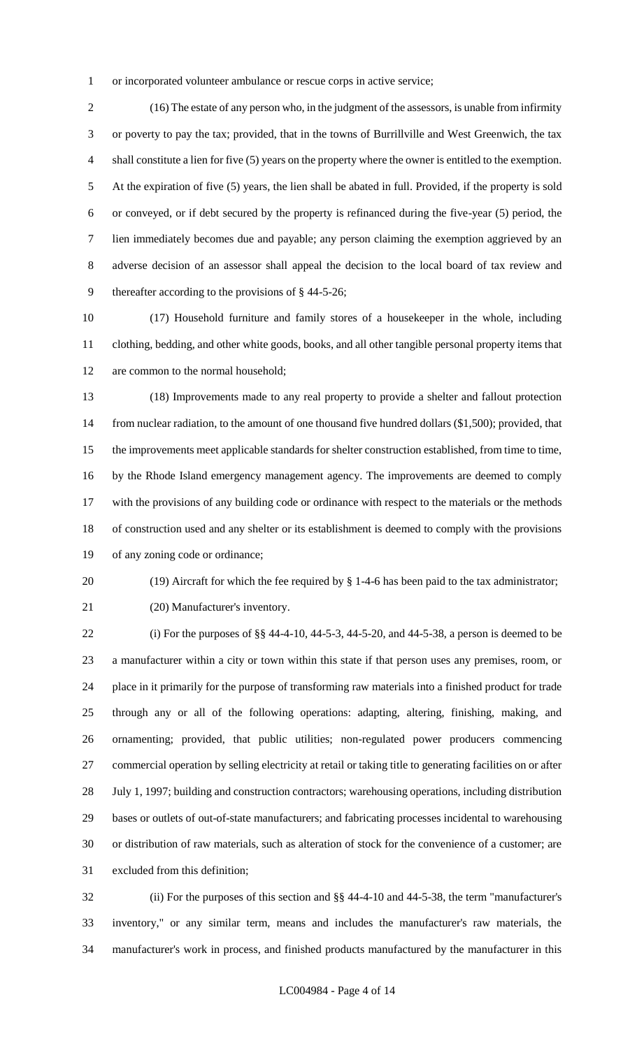or incorporated volunteer ambulance or rescue corps in active service;

 (16) The estate of any person who, in the judgment of the assessors, is unable from infirmity or poverty to pay the tax; provided, that in the towns of Burrillville and West Greenwich, the tax shall constitute a lien for five (5) years on the property where the owner is entitled to the exemption. At the expiration of five (5) years, the lien shall be abated in full. Provided, if the property is sold or conveyed, or if debt secured by the property is refinanced during the five-year (5) period, the lien immediately becomes due and payable; any person claiming the exemption aggrieved by an adverse decision of an assessor shall appeal the decision to the local board of tax review and thereafter according to the provisions of § 44-5-26;

 (17) Household furniture and family stores of a housekeeper in the whole, including clothing, bedding, and other white goods, books, and all other tangible personal property items that are common to the normal household;

 (18) Improvements made to any real property to provide a shelter and fallout protection from nuclear radiation, to the amount of one thousand five hundred dollars (\$1,500); provided, that the improvements meet applicable standards for shelter construction established, from time to time, by the Rhode Island emergency management agency. The improvements are deemed to comply with the provisions of any building code or ordinance with respect to the materials or the methods of construction used and any shelter or its establishment is deemed to comply with the provisions of any zoning code or ordinance;

(19) Aircraft for which the fee required by § 1-4-6 has been paid to the tax administrator;

(20) Manufacturer's inventory.

 (i) For the purposes of §§ 44-4-10, 44-5-3, 44-5-20, and 44-5-38, a person is deemed to be a manufacturer within a city or town within this state if that person uses any premises, room, or place in it primarily for the purpose of transforming raw materials into a finished product for trade through any or all of the following operations: adapting, altering, finishing, making, and ornamenting; provided, that public utilities; non-regulated power producers commencing commercial operation by selling electricity at retail or taking title to generating facilities on or after July 1, 1997; building and construction contractors; warehousing operations, including distribution bases or outlets of out-of-state manufacturers; and fabricating processes incidental to warehousing or distribution of raw materials, such as alteration of stock for the convenience of a customer; are excluded from this definition;

 (ii) For the purposes of this section and §§ 44-4-10 and 44-5-38, the term "manufacturer's inventory," or any similar term, means and includes the manufacturer's raw materials, the manufacturer's work in process, and finished products manufactured by the manufacturer in this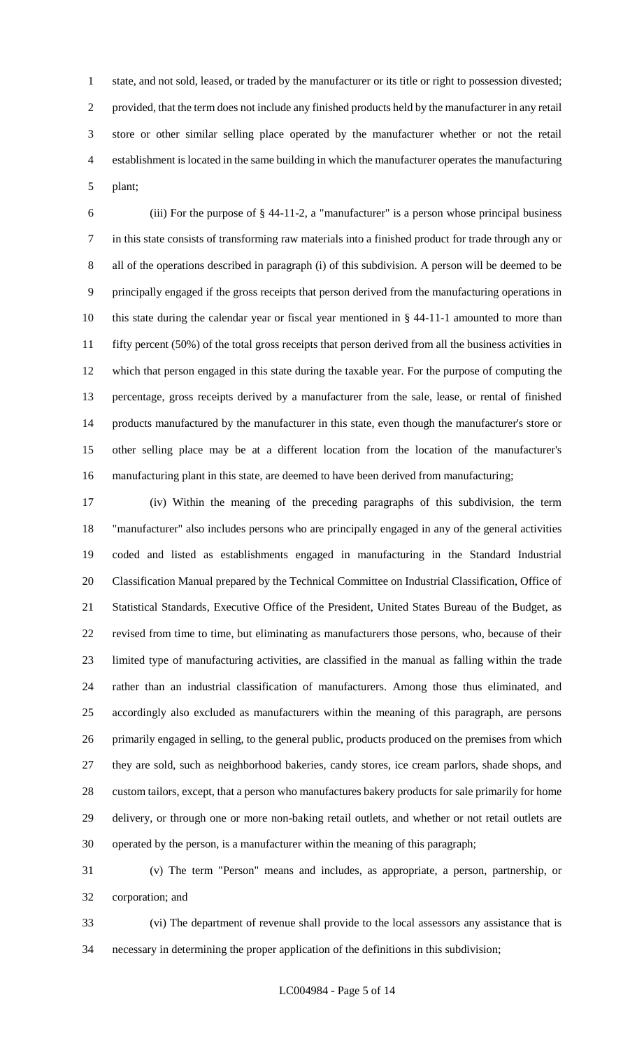state, and not sold, leased, or traded by the manufacturer or its title or right to possession divested; provided, that the term does not include any finished products held by the manufacturer in any retail store or other similar selling place operated by the manufacturer whether or not the retail establishment is located in the same building in which the manufacturer operates the manufacturing plant;

 (iii) For the purpose of § 44-11-2, a "manufacturer" is a person whose principal business in this state consists of transforming raw materials into a finished product for trade through any or all of the operations described in paragraph (i) of this subdivision. A person will be deemed to be principally engaged if the gross receipts that person derived from the manufacturing operations in this state during the calendar year or fiscal year mentioned in § 44-11-1 amounted to more than 11 fifty percent (50%) of the total gross receipts that person derived from all the business activities in which that person engaged in this state during the taxable year. For the purpose of computing the percentage, gross receipts derived by a manufacturer from the sale, lease, or rental of finished products manufactured by the manufacturer in this state, even though the manufacturer's store or other selling place may be at a different location from the location of the manufacturer's manufacturing plant in this state, are deemed to have been derived from manufacturing;

 (iv) Within the meaning of the preceding paragraphs of this subdivision, the term "manufacturer" also includes persons who are principally engaged in any of the general activities coded and listed as establishments engaged in manufacturing in the Standard Industrial Classification Manual prepared by the Technical Committee on Industrial Classification, Office of Statistical Standards, Executive Office of the President, United States Bureau of the Budget, as revised from time to time, but eliminating as manufacturers those persons, who, because of their limited type of manufacturing activities, are classified in the manual as falling within the trade rather than an industrial classification of manufacturers. Among those thus eliminated, and accordingly also excluded as manufacturers within the meaning of this paragraph, are persons primarily engaged in selling, to the general public, products produced on the premises from which they are sold, such as neighborhood bakeries, candy stores, ice cream parlors, shade shops, and custom tailors, except, that a person who manufactures bakery products for sale primarily for home delivery, or through one or more non-baking retail outlets, and whether or not retail outlets are operated by the person, is a manufacturer within the meaning of this paragraph;

 (v) The term "Person" means and includes, as appropriate, a person, partnership, or corporation; and

 (vi) The department of revenue shall provide to the local assessors any assistance that is necessary in determining the proper application of the definitions in this subdivision;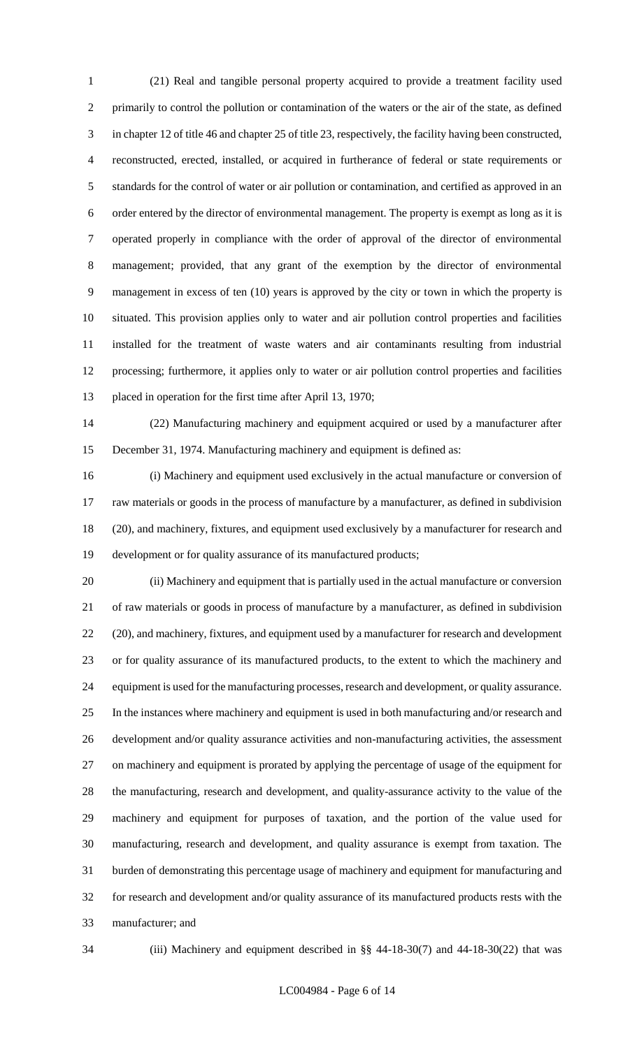(21) Real and tangible personal property acquired to provide a treatment facility used primarily to control the pollution or contamination of the waters or the air of the state, as defined in chapter 12 of title 46 and chapter 25 of title 23, respectively, the facility having been constructed, reconstructed, erected, installed, or acquired in furtherance of federal or state requirements or standards for the control of water or air pollution or contamination, and certified as approved in an order entered by the director of environmental management. The property is exempt as long as it is operated properly in compliance with the order of approval of the director of environmental management; provided, that any grant of the exemption by the director of environmental management in excess of ten (10) years is approved by the city or town in which the property is situated. This provision applies only to water and air pollution control properties and facilities installed for the treatment of waste waters and air contaminants resulting from industrial processing; furthermore, it applies only to water or air pollution control properties and facilities placed in operation for the first time after April 13, 1970;

 (22) Manufacturing machinery and equipment acquired or used by a manufacturer after December 31, 1974. Manufacturing machinery and equipment is defined as:

 (i) Machinery and equipment used exclusively in the actual manufacture or conversion of raw materials or goods in the process of manufacture by a manufacturer, as defined in subdivision (20), and machinery, fixtures, and equipment used exclusively by a manufacturer for research and development or for quality assurance of its manufactured products;

 (ii) Machinery and equipment that is partially used in the actual manufacture or conversion of raw materials or goods in process of manufacture by a manufacturer, as defined in subdivision 22 (20), and machinery, fixtures, and equipment used by a manufacturer for research and development or for quality assurance of its manufactured products, to the extent to which the machinery and equipment is used for the manufacturing processes, research and development, or quality assurance. In the instances where machinery and equipment is used in both manufacturing and/or research and development and/or quality assurance activities and non-manufacturing activities, the assessment on machinery and equipment is prorated by applying the percentage of usage of the equipment for the manufacturing, research and development, and quality-assurance activity to the value of the machinery and equipment for purposes of taxation, and the portion of the value used for manufacturing, research and development, and quality assurance is exempt from taxation. The burden of demonstrating this percentage usage of machinery and equipment for manufacturing and for research and development and/or quality assurance of its manufactured products rests with the manufacturer; and

(iii) Machinery and equipment described in §§ 44-18-30(7) and 44-18-30(22) that was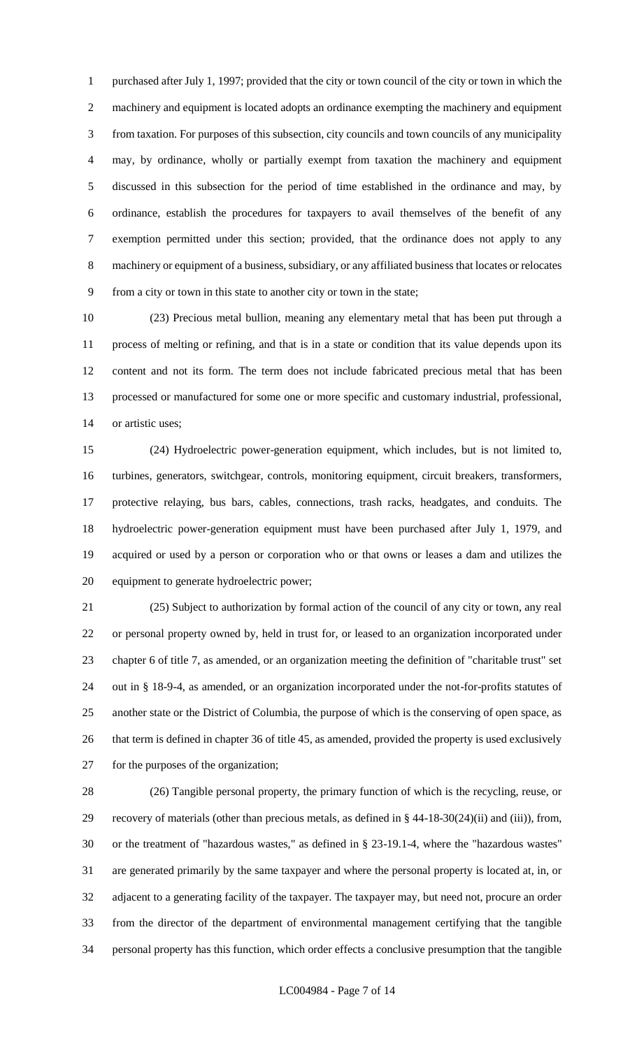purchased after July 1, 1997; provided that the city or town council of the city or town in which the machinery and equipment is located adopts an ordinance exempting the machinery and equipment from taxation. For purposes of this subsection, city councils and town councils of any municipality may, by ordinance, wholly or partially exempt from taxation the machinery and equipment discussed in this subsection for the period of time established in the ordinance and may, by ordinance, establish the procedures for taxpayers to avail themselves of the benefit of any exemption permitted under this section; provided, that the ordinance does not apply to any machinery or equipment of a business, subsidiary, or any affiliated business that locates or relocates from a city or town in this state to another city or town in the state;

 (23) Precious metal bullion, meaning any elementary metal that has been put through a process of melting or refining, and that is in a state or condition that its value depends upon its content and not its form. The term does not include fabricated precious metal that has been processed or manufactured for some one or more specific and customary industrial, professional, or artistic uses;

 (24) Hydroelectric power-generation equipment, which includes, but is not limited to, turbines, generators, switchgear, controls, monitoring equipment, circuit breakers, transformers, protective relaying, bus bars, cables, connections, trash racks, headgates, and conduits. The hydroelectric power-generation equipment must have been purchased after July 1, 1979, and acquired or used by a person or corporation who or that owns or leases a dam and utilizes the equipment to generate hydroelectric power;

 (25) Subject to authorization by formal action of the council of any city or town, any real or personal property owned by, held in trust for, or leased to an organization incorporated under chapter 6 of title 7, as amended, or an organization meeting the definition of "charitable trust" set out in § 18-9-4, as amended, or an organization incorporated under the not-for-profits statutes of another state or the District of Columbia, the purpose of which is the conserving of open space, as that term is defined in chapter 36 of title 45, as amended, provided the property is used exclusively for the purposes of the organization;

 (26) Tangible personal property, the primary function of which is the recycling, reuse, or recovery of materials (other than precious metals, as defined in § 44-18-30(24)(ii) and (iii)), from, or the treatment of "hazardous wastes," as defined in § 23-19.1-4, where the "hazardous wastes" are generated primarily by the same taxpayer and where the personal property is located at, in, or adjacent to a generating facility of the taxpayer. The taxpayer may, but need not, procure an order from the director of the department of environmental management certifying that the tangible personal property has this function, which order effects a conclusive presumption that the tangible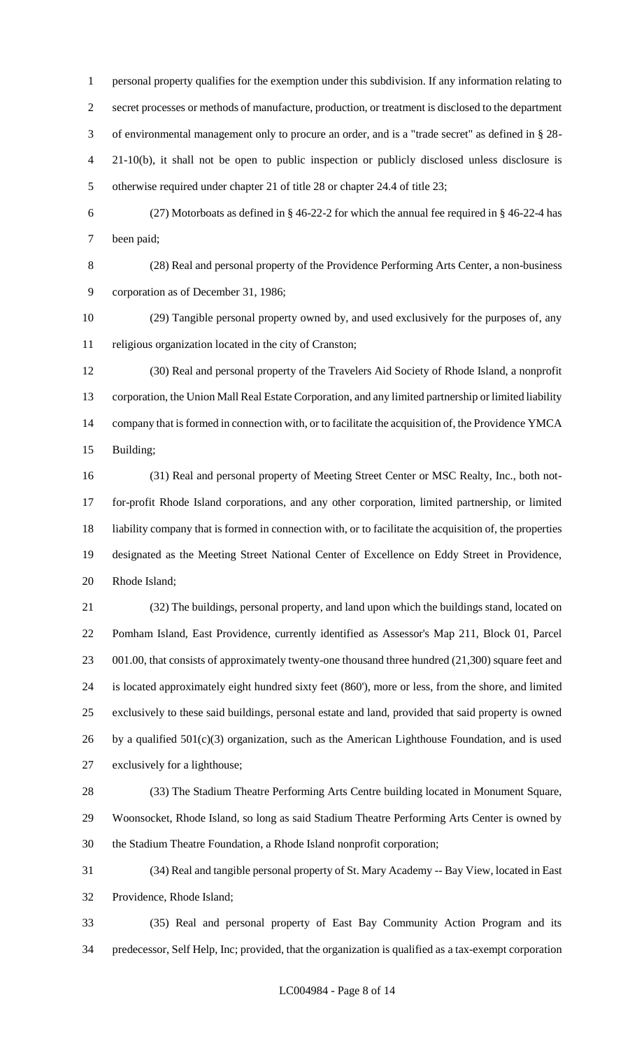personal property qualifies for the exemption under this subdivision. If any information relating to secret processes or methods of manufacture, production, or treatment is disclosed to the department of environmental management only to procure an order, and is a "trade secret" as defined in § 28- 21-10(b), it shall not be open to public inspection or publicly disclosed unless disclosure is otherwise required under chapter 21 of title 28 or chapter 24.4 of title 23;

 (27) Motorboats as defined in § 46-22-2 for which the annual fee required in § 46-22-4 has been paid;

 (28) Real and personal property of the Providence Performing Arts Center, a non-business corporation as of December 31, 1986;

 (29) Tangible personal property owned by, and used exclusively for the purposes of, any religious organization located in the city of Cranston;

 (30) Real and personal property of the Travelers Aid Society of Rhode Island, a nonprofit corporation, the Union Mall Real Estate Corporation, and any limited partnership or limited liability company that is formed in connection with, or to facilitate the acquisition of, the Providence YMCA Building;

 (31) Real and personal property of Meeting Street Center or MSC Realty, Inc., both not- for-profit Rhode Island corporations, and any other corporation, limited partnership, or limited liability company that is formed in connection with, or to facilitate the acquisition of, the properties designated as the Meeting Street National Center of Excellence on Eddy Street in Providence, Rhode Island;

 (32) The buildings, personal property, and land upon which the buildings stand, located on Pomham Island, East Providence, currently identified as Assessor's Map 211, Block 01, Parcel 23 001.00, that consists of approximately twenty-one thousand three hundred (21,300) square feet and is located approximately eight hundred sixty feet (860'), more or less, from the shore, and limited exclusively to these said buildings, personal estate and land, provided that said property is owned 26 by a qualified  $501(c)(3)$  organization, such as the American Lighthouse Foundation, and is used exclusively for a lighthouse;

 (33) The Stadium Theatre Performing Arts Centre building located in Monument Square, Woonsocket, Rhode Island, so long as said Stadium Theatre Performing Arts Center is owned by the Stadium Theatre Foundation, a Rhode Island nonprofit corporation;

 (34) Real and tangible personal property of St. Mary Academy -- Bay View, located in East Providence, Rhode Island;

 (35) Real and personal property of East Bay Community Action Program and its predecessor, Self Help, Inc; provided, that the organization is qualified as a tax-exempt corporation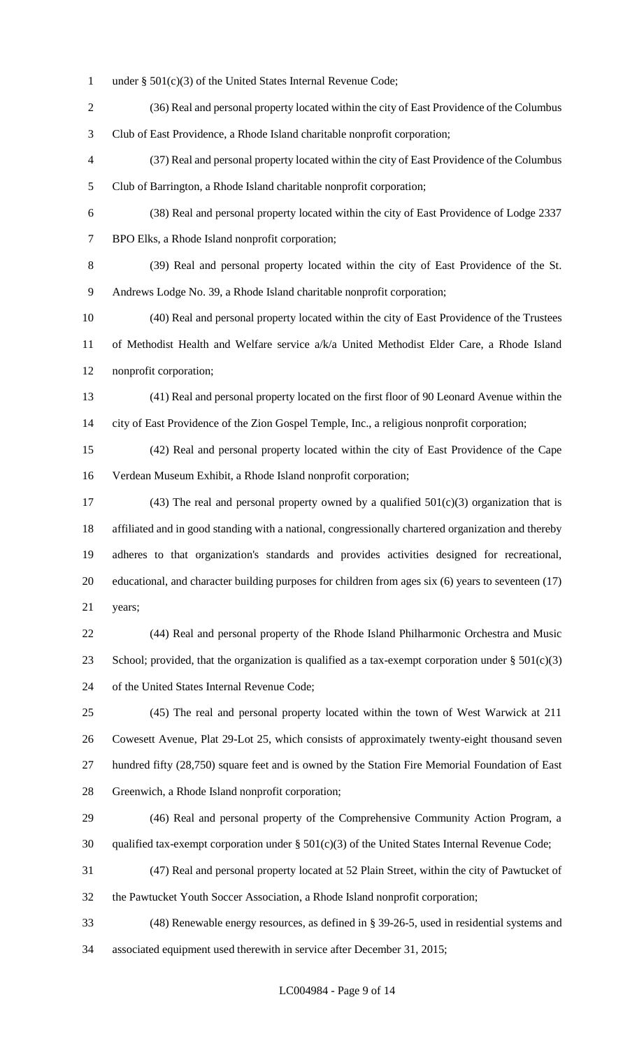- under § 501(c)(3) of the United States Internal Revenue Code;
- (36) Real and personal property located within the city of East Providence of the Columbus Club of East Providence, a Rhode Island charitable nonprofit corporation;
- (37) Real and personal property located within the city of East Providence of the Columbus Club of Barrington, a Rhode Island charitable nonprofit corporation;
- (38) Real and personal property located within the city of East Providence of Lodge 2337 BPO Elks, a Rhode Island nonprofit corporation;
- (39) Real and personal property located within the city of East Providence of the St. Andrews Lodge No. 39, a Rhode Island charitable nonprofit corporation;
- (40) Real and personal property located within the city of East Providence of the Trustees of Methodist Health and Welfare service a/k/a United Methodist Elder Care, a Rhode Island nonprofit corporation;
- (41) Real and personal property located on the first floor of 90 Leonard Avenue within the city of East Providence of the Zion Gospel Temple, Inc., a religious nonprofit corporation;
- (42) Real and personal property located within the city of East Providence of the Cape Verdean Museum Exhibit, a Rhode Island nonprofit corporation;
- 17 (43) The real and personal property owned by a qualified  $501(c)(3)$  organization that is affiliated and in good standing with a national, congressionally chartered organization and thereby adheres to that organization's standards and provides activities designed for recreational, educational, and character building purposes for children from ages six (6) years to seventeen (17) years;
- (44) Real and personal property of the Rhode Island Philharmonic Orchestra and Music 23 School; provided, that the organization is qualified as a tax-exempt corporation under  $\S 501(c)(3)$ of the United States Internal Revenue Code;
- (45) The real and personal property located within the town of West Warwick at 211 Cowesett Avenue, Plat 29-Lot 25, which consists of approximately twenty-eight thousand seven hundred fifty (28,750) square feet and is owned by the Station Fire Memorial Foundation of East Greenwich, a Rhode Island nonprofit corporation;
- (46) Real and personal property of the Comprehensive Community Action Program, a qualified tax-exempt corporation under § 501(c)(3) of the United States Internal Revenue Code;
- (47) Real and personal property located at 52 Plain Street, within the city of Pawtucket of the Pawtucket Youth Soccer Association, a Rhode Island nonprofit corporation;
- (48) Renewable energy resources, as defined in § 39-26-5, used in residential systems and associated equipment used therewith in service after December 31, 2015;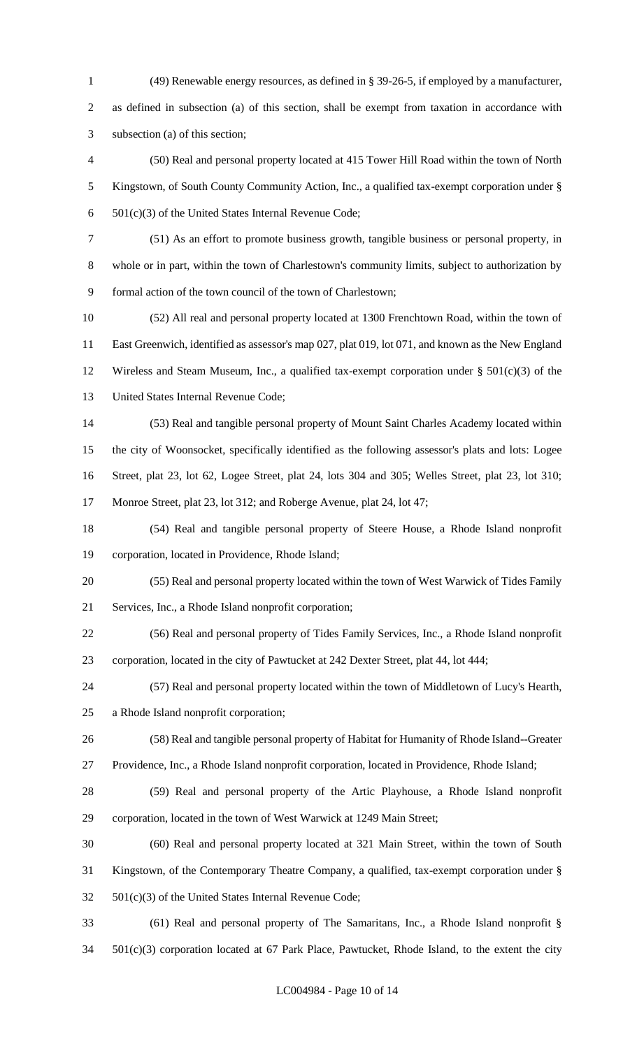(49) Renewable energy resources, as defined in § 39-26-5, if employed by a manufacturer, as defined in subsection (a) of this section, shall be exempt from taxation in accordance with subsection (a) of this section; (50) Real and personal property located at 415 Tower Hill Road within the town of North Kingstown, of South County Community Action, Inc., a qualified tax-exempt corporation under § 501(c)(3) of the United States Internal Revenue Code; (51) As an effort to promote business growth, tangible business or personal property, in whole or in part, within the town of Charlestown's community limits, subject to authorization by formal action of the town council of the town of Charlestown; (52) All real and personal property located at 1300 Frenchtown Road, within the town of East Greenwich, identified as assessor's map 027, plat 019, lot 071, and known as the New England Wireless and Steam Museum, Inc., a qualified tax-exempt corporation under § 501(c)(3) of the United States Internal Revenue Code; (53) Real and tangible personal property of Mount Saint Charles Academy located within the city of Woonsocket, specifically identified as the following assessor's plats and lots: Logee Street, plat 23, lot 62, Logee Street, plat 24, lots 304 and 305; Welles Street, plat 23, lot 310; 17 Monroe Street, plat 23, lot 312; and Roberge Avenue, plat 24, lot 47; (54) Real and tangible personal property of Steere House, a Rhode Island nonprofit corporation, located in Providence, Rhode Island; (55) Real and personal property located within the town of West Warwick of Tides Family Services, Inc., a Rhode Island nonprofit corporation; (56) Real and personal property of Tides Family Services, Inc., a Rhode Island nonprofit corporation, located in the city of Pawtucket at 242 Dexter Street, plat 44, lot 444; (57) Real and personal property located within the town of Middletown of Lucy's Hearth, a Rhode Island nonprofit corporation; (58) Real and tangible personal property of Habitat for Humanity of Rhode Island--Greater Providence, Inc., a Rhode Island nonprofit corporation, located in Providence, Rhode Island; (59) Real and personal property of the Artic Playhouse, a Rhode Island nonprofit corporation, located in the town of West Warwick at 1249 Main Street; (60) Real and personal property located at 321 Main Street, within the town of South Kingstown, of the Contemporary Theatre Company, a qualified, tax-exempt corporation under § 501(c)(3) of the United States Internal Revenue Code; (61) Real and personal property of The Samaritans, Inc., a Rhode Island nonprofit § 501(c)(3) corporation located at 67 Park Place, Pawtucket, Rhode Island, to the extent the city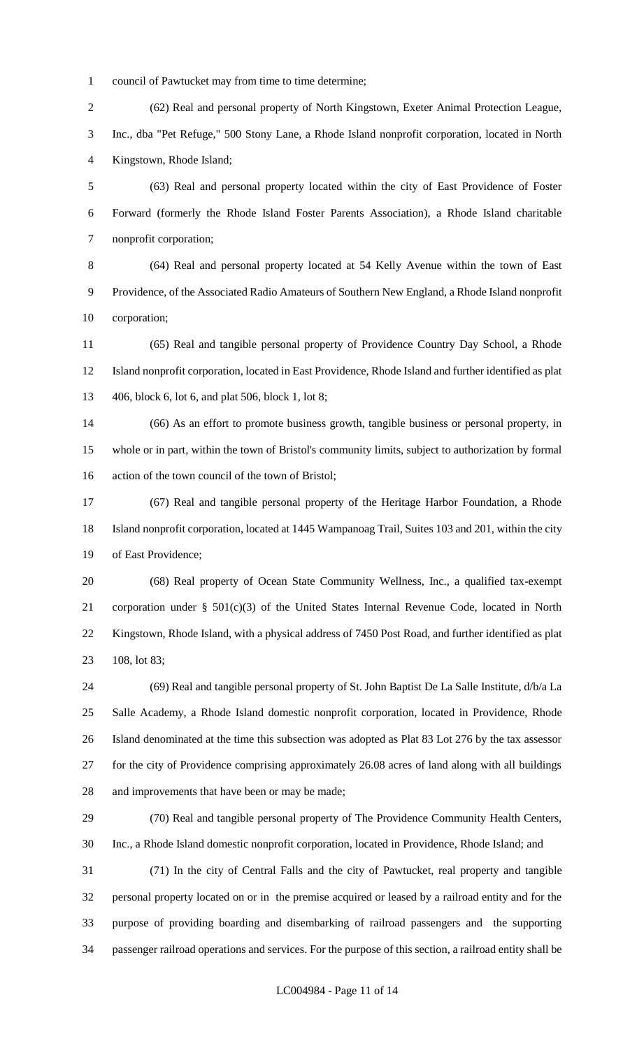council of Pawtucket may from time to time determine;

 (62) Real and personal property of North Kingstown, Exeter Animal Protection League, Inc., dba "Pet Refuge," 500 Stony Lane, a Rhode Island nonprofit corporation, located in North Kingstown, Rhode Island;

 (63) Real and personal property located within the city of East Providence of Foster Forward (formerly the Rhode Island Foster Parents Association), a Rhode Island charitable nonprofit corporation;

 (64) Real and personal property located at 54 Kelly Avenue within the town of East Providence, of the Associated Radio Amateurs of Southern New England, a Rhode Island nonprofit corporation;

 (65) Real and tangible personal property of Providence Country Day School, a Rhode Island nonprofit corporation, located in East Providence, Rhode Island and further identified as plat 406, block 6, lot 6, and plat 506, block 1, lot 8;

 (66) As an effort to promote business growth, tangible business or personal property, in whole or in part, within the town of Bristol's community limits, subject to authorization by formal action of the town council of the town of Bristol;

 (67) Real and tangible personal property of the Heritage Harbor Foundation, a Rhode Island nonprofit corporation, located at 1445 Wampanoag Trail, Suites 103 and 201, within the city of East Providence;

 (68) Real property of Ocean State Community Wellness, Inc., a qualified tax-exempt corporation under § 501(c)(3) of the United States Internal Revenue Code, located in North Kingstown, Rhode Island, with a physical address of 7450 Post Road, and further identified as plat 108, lot 83;

 (69) Real and tangible personal property of St. John Baptist De La Salle Institute, d/b/a La Salle Academy, a Rhode Island domestic nonprofit corporation, located in Providence, Rhode Island denominated at the time this subsection was adopted as Plat 83 Lot 276 by the tax assessor for the city of Providence comprising approximately 26.08 acres of land along with all buildings and improvements that have been or may be made;

 (70) Real and tangible personal property of The Providence Community Health Centers, Inc., a Rhode Island domestic nonprofit corporation, located in Providence, Rhode Island; and

 (71) In the city of Central Falls and the city of Pawtucket, real property and tangible personal property located on or in the premise acquired or leased by a railroad entity and for the purpose of providing boarding and disembarking of railroad passengers and the supporting passenger railroad operations and services. For the purpose of this section, a railroad entity shall be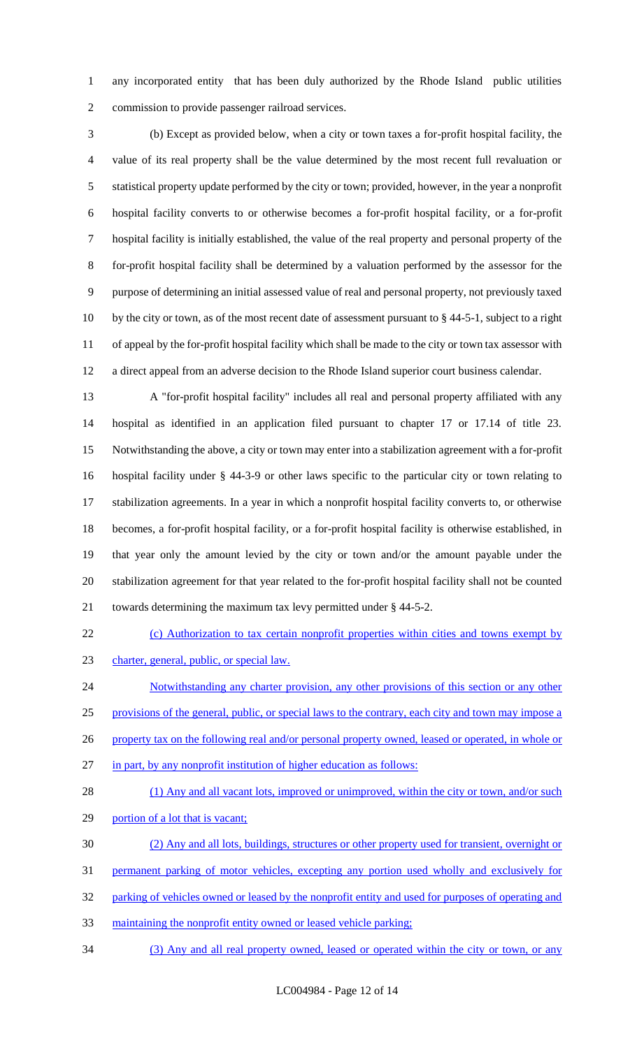any incorporated entity that has been duly authorized by the Rhode Island public utilities commission to provide passenger railroad services.

 (b) Except as provided below, when a city or town taxes a for-profit hospital facility, the value of its real property shall be the value determined by the most recent full revaluation or statistical property update performed by the city or town; provided, however, in the year a nonprofit hospital facility converts to or otherwise becomes a for-profit hospital facility, or a for-profit hospital facility is initially established, the value of the real property and personal property of the for-profit hospital facility shall be determined by a valuation performed by the assessor for the purpose of determining an initial assessed value of real and personal property, not previously taxed by the city or town, as of the most recent date of assessment pursuant to § 44-5-1, subject to a right of appeal by the for-profit hospital facility which shall be made to the city or town tax assessor with a direct appeal from an adverse decision to the Rhode Island superior court business calendar.

 A "for-profit hospital facility" includes all real and personal property affiliated with any hospital as identified in an application filed pursuant to chapter 17 or 17.14 of title 23. Notwithstanding the above, a city or town may enter into a stabilization agreement with a for-profit hospital facility under § 44-3-9 or other laws specific to the particular city or town relating to stabilization agreements. In a year in which a nonprofit hospital facility converts to, or otherwise becomes, a for-profit hospital facility, or a for-profit hospital facility is otherwise established, in that year only the amount levied by the city or town and/or the amount payable under the stabilization agreement for that year related to the for-profit hospital facility shall not be counted towards determining the maximum tax levy permitted under § 44-5-2.

 (c) Authorization to tax certain nonprofit properties within cities and towns exempt by charter, general, public, or special law.

24 Notwithstanding any charter provision, any other provisions of this section or any other provisions of the general, public, or special laws to the contrary, each city and town may impose a 26 property tax on the following real and/or personal property owned, leased or operated, in whole or in part, by any nonprofit institution of higher education as follows:

- 28 (1) Any and all vacant lots, improved or unimproved, within the city or town, and/or such
- 29 portion of a lot that is vacant;
- (2) Any and all lots, buildings, structures or other property used for transient, overnight or
- permanent parking of motor vehicles, excepting any portion used wholly and exclusively for
- 32 parking of vehicles owned or leased by the nonprofit entity and used for purposes of operating and
- maintaining the nonprofit entity owned or leased vehicle parking;
- (3) Any and all real property owned, leased or operated within the city or town, or any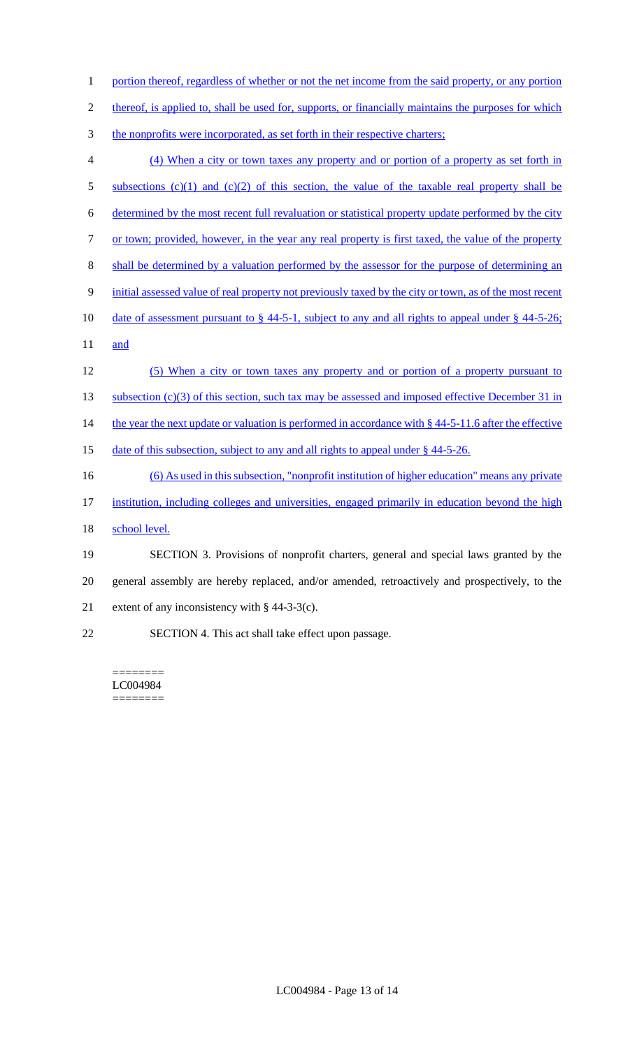1 portion thereof, regardless of whether or not the net income from the said property, or any portion

2 thereof, is applied to, shall be used for, supports, or financially maintains the purposes for which

- 3 the nonprofits were incorporated, as set forth in their respective charters;
- 4 (4) When a city or town taxes any property and or portion of a property as set forth in 5 subsections (c)(1) and (c)(2) of this section, the value of the taxable real property shall be 6 determined by the most recent full revaluation or statistical property update performed by the city 7 or town; provided, however, in the year any real property is first taxed, the value of the property 8 shall be determined by a valuation performed by the assessor for the purpose of determining an 9 initial assessed value of real property not previously taxed by the city or town, as of the most recent 10 date of assessment pursuant to § 44-5-1, subject to any and all rights to appeal under § 44-5-26; 11 and 12 (5) When a city or town taxes any property and or portion of a property pursuant to 13 subsection (c)(3) of this section, such tax may be assessed and imposed effective December 31 in 14 the year the next update or valuation is performed in accordance with § 44-5-11.6 after the effective 15 date of this subsection, subject to any and all rights to appeal under § 44-5-26. 16 (6) As used in this subsection, "nonprofit institution of higher education" means any private 17 institution, including colleges and universities, engaged primarily in education beyond the high 18 school level. 19 SECTION 3. Provisions of nonprofit charters, general and special laws granted by the 20 general assembly are hereby replaced, and/or amended, retroactively and prospectively, to the 21 extent of any inconsistency with § 44-3-3(c). 22 SECTION 4. This act shall take effect upon passage.

======== LC004984 ========